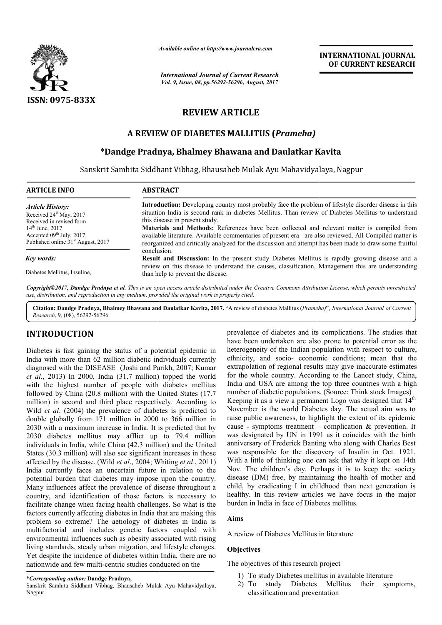

*Available online at http://www.journal http://www.journalcra.com*

*International Journal of Current Research Vol. 9, Issue, 08, pp.56292-56296, August, 2017* **INTERNATIONAL JOURNAL OF CURRENT RESEARCH** 

# **REVIEW ARTICLE**

# **A REVIEW OF DIABETES MALLITUS (** *Prameha)*

# **\*Dandge Pradnya Dandge Pradnya, Bhalmey Bhawana and Daulatkar Kavita**

Sanskrit Samhita Siddhant Vibhag, Bhausaheb Mulak Ayu Mahavidyalaya, Nagpur

| <b>ARTICLE INFO</b>                                                                                                                                                                   | <b>ABSTRACT</b>                                                                                                                                                                                                                                                                                                                                                                                                                                                                                                                                                               |  |
|---------------------------------------------------------------------------------------------------------------------------------------------------------------------------------------|-------------------------------------------------------------------------------------------------------------------------------------------------------------------------------------------------------------------------------------------------------------------------------------------------------------------------------------------------------------------------------------------------------------------------------------------------------------------------------------------------------------------------------------------------------------------------------|--|
| <b>Article History:</b><br>Received $24th$ May, 2017<br>Received in revised form<br>$14th$ June, 2017<br>Accepted $09th$ July, 2017<br>Published online 31 <sup>st</sup> August, 2017 | <b>Introduction:</b> Developing country most probably face the problem of lifestyle disorder disease in this<br>situation India is second rank in diabetes Mellitus. Than review of Diabetes Mellitus to understand<br>this disease in present study.<br><b>Materials and Methods:</b> References have been collected and relevant matter is compiled from<br>available literature. Available commentaries of present era are also reviewed. All Compiled matter is<br>reorganized and critically analyzed for the discussion and attempt has been made to draw some fruitful |  |
| Key words:                                                                                                                                                                            | conclusion.<br><b>Result and Discussion:</b> In the present study Diabetes Mellitus is rapidly growing disease and a                                                                                                                                                                                                                                                                                                                                                                                                                                                          |  |
| Diabetes Mellitus, Insuline,                                                                                                                                                          | review on this disease to understand the causes, classification, Management this are understanding<br>than help to prevent the disease.                                                                                                                                                                                                                                                                                                                                                                                                                                       |  |

*Copyright©2017, Dandge Pradnya et al. This is an open access article distributed under the Creative Commons Att Attribution License, which ribution permits unrestricted use, distribution, and reproduction in any medium, provided the original work is properly cited.*

Citation: Dandge Pradnya, Bhalmey Bhawana and Daulatkar Kavita, 2017. "A review of diabetes Mallitus (*Prameha)", International Journal of Current Research*, 9, (08), 56292-56296.

# **INTRODUCTION**

Diabetes is fast gaining the status of a potential epidemic in India with more than 62 million diabetic individuals currently diagnosed with the DISEASE (Joshi and Parikh, 2007; Kumar *et al*., 2013) In 2000, India (31.7 million) topped the world with the highest number of people with diabetes mellitus followed by China (20.8 million) with the United States (17.7 million) in second and third place respectively. According to Wild *et al.* (2004) the prevalence of diabetes is predicted to double globally from 171 million in 2000 to 366 million in 2030 with a maximum increase in India. It is predicted that by 2030 diabetes mellitus may afflict up to 79.4 million individuals in India, while China (42.3 million) and the United States (30.3 million) will also see significant increases in those affected by the disease. (Wild *et al*., 2004; Whiting *et al*., 2011) India currently faces an uncertain future in relation to the potential burden that diabetes may impose upon the country. Many influences affect the prevalence of disease throughout a country, and identification of those factors is necessary to facilitate change when facing health challenges. So what is the factors currently affecting diabetes in India that are making this problem so extreme? The aetiology of diabetes in India is multifactorial and includes genetic factors coupled with environmental influences such as obesity associated with rising living standards, steady urban migration, and lifestyle changes. Yet despite the incidence of diabetes within India, there are no nationwide and few multi-centric studies conducted on the

Sanskrit Samhita Siddhant Vibhag, Bhausaheb Mulak Ayu Mahavidyalaya, Nagpur

be status of a potential epidemic of diabetes and its complications. The status of a potential epidemic in heterogeneity of the Indian population with respect to culture, SSE (Joshi and Parikh, 2007; Kumar extrapolation o have been undertaken are also prone to potential error as the heterogeneity of the Indian population with respect to culture, ethnicity, and socio- economic conditions; mean that the extrapolation of regional results may give inaccurate estimates for the whole country. According to the Lancet study, China, India and USA are among the top three countries with a high number of diabetic populations. (Source: Think stock Images) prevalence of diabetes and its complications. The studies that have been undertaken are also prone to potential error as the heterogeneity of the Indian population with respect to culture, ethnicity, and socio-economic con November is the world Diabetes day. The actual aim was to November is the world Diabetes day. The actual aim was to raise public awareness, to highlight the extent of its epidemic cause - symptoms treatment – complication & prevention. It was designated by UN in 1991 as it coincides with the birth anniversary of Frederick Banting who along with Charles Best was responsible for the discovery of Insulin in Oct. 1921. With a little of thinking one can ask that why it kept on 14th anniversary of Frederick Banting who along with Charles Best<br>was responsible for the discovery of Insulin in Oct. 1921.<br>With a little of thinking one can ask that why it kept on 14th<br>Nov. The children's day. Perhaps it is disease (DM) free, by maintaining the health of mother and child, by eradicating I in childhood than next generation is healthy. In this review articles we have focus in the major burden in India in face of Diabetes mellitus. **INTEENATIONAL JOURNAL OF CURRENT RESEARCH**<br> **DE CURRENT RESEARCH**<br> **LE**<br> **LE**<br> **LE**<br> **LE**<br> **LE**<br> **LE**<br> **LE**<br> **LE**<br> **LE**<br> **LE**<br> **LE**<br> **LE**<br> **LE**<br> **LE**<br> **LE**<br> **DE CPRIMENT CONTAITS (Pramehar)**<br> **Denote the included in rele** 

#### **Aims**

A review of Diabetes Mellitus in literature

#### **Objectives**

The objectives of this research project

- 1) To study Diabetes mellitus in available literature
- 2) To study Diabetes Mellitus their symptoms, classification and preventation

<sup>\*</sup>*Corresponding author:* **Dandge Pradnya,**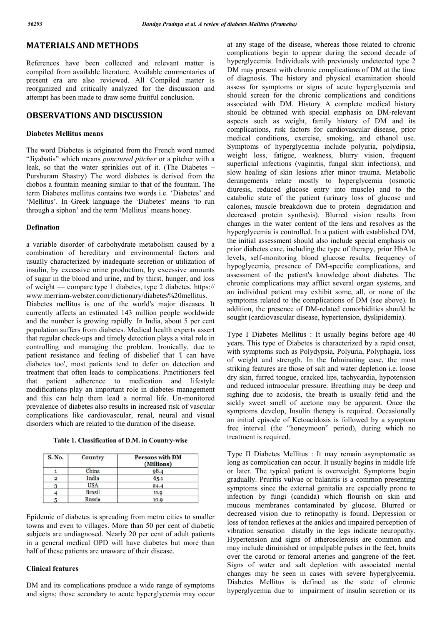# **MATERIALS AND METHODS**

References have been collected and relevant matter is compiled from available literature. Available commentaries of present era are also reviewed. All Compiled matter is reorganized and critically analyzed for the discussion and attempt has been made to draw some fruitful conclusion.

# **OBSERVATIONS AND DISCUSSION**

#### **Diabetes Mellitus means**

The word Diabetes is originated from the French word named "Jiyabatis" which means *punctured pitcher* or a pitcher with a leak, so that the water sprinkles out of it. (The Diabetes – Purshuram Shastry) The word diabetes is derived from the diobos a fountain meaning similar to that of the fountain. The term Diabetes mellitus contains two words i.e. 'Diabetes' and 'Mellitus'. In Greek language the 'Diabetes' means 'to run through a siphon' and the term 'Mellitus' means honey.

#### **Defination**

a variable disorder of carbohydrate metabolism caused by a combination of hereditary and environmental factors and usually characterized by inadequate secretion or utilization of insulin, by excessive urine production, by excessive amounts of sugar in the blood and urine, and by thirst, hunger, and loss of weight — compare type 1 diabetes, type 2 diabetes. https:// www.merriam-webster.com/dictionary/diabetes%20mellitus.

Diabetes mellitus is one of the world's major diseases. It currently affects an estimated 143 million people worldwide and the number is growing rapidly. In India, about 5 per cent population suffers from diabetes. Medical health experts assert that regular check-ups and timely detection plays a vital role in controlling and managing the problem. Ironically, due to patient resistance and feeling of disbelief that 'I can have diabetes too', most patients tend to defer on detection and treatment that often leads to complications. Practitioners feel that patient adherence to medication and lifestyle modifications play an important role in diabetes management and this can help them lead a normal life. Un-monitored prevalence of diabetes also results in increased risk of vascular complications like cardiovascular, renal, neural and visual disorders which are related to the duration of the disease.

**Table 1. Classification of D.M. in Country-wise**

| <b>S. No.</b> | Country       | <b>Persons with DM</b><br>(Millions) |
|---------------|---------------|--------------------------------------|
|               | China         | 98.4                                 |
|               | India         | 65.1                                 |
|               | <b>USA</b>    | 24.4                                 |
|               | <b>Brazil</b> | 11.9                                 |
|               | Russia        | 10.9                                 |

Epidemic of diabetes is spreading from metro cities to smaller towns and even to villages. More than 50 per cent of diabetic subjects are undiagnosed. Nearly 20 per cent of adult patients in a general medical OPD will have diabetes but more than half of these patients are unaware of their disease.

#### **Clinical features**

DM and its complications produce a wide range of symptoms and signs; those secondary to acute hyperglycemia may occur at any stage of the disease, whereas those related to chronic complications begin to appear during the second decade of hyperglycemia. Individuals with previously undetected type 2 DM may present with chronic complications of DM at the time of diagnosis. The history and physical examination should assess for symptoms or signs of acute hyperglycemia and should screen for the chronic complications and conditions associated with DM. History A complete medical history should be obtained with special emphasis on DM-relevant aspects such as weight, family history of DM and its complications, risk factors for cardiovascular disease, prior medical conditions, exercise, smoking, and ethanol use. Symptoms of hyperglycemia include polyuria, polydipsia, weight loss, fatigue, weakness, blurry vision, frequent superficial infections (vaginitis, fungal skin infections), and slow healing of skin lesions after minor trauma. Metabolic derangements relate mostly to hyperglycemia (osmotic diuresis, reduced glucose entry into muscle) and to the catabolic state of the patient (urinary loss of glucose and calories, muscle breakdown due to protein degradation and decreased protein synthesis). Blurred vision results from changes in the water content of the lens and resolves as the hyperglycemia is controlled. In a patient with established DM, the initial assessment should also include special emphasis on prior diabetes care, including the type of therapy, prior HbA1c levels, self-monitoring blood glucose results, frequency of hypoglycemia, presence of DM-specific complications, and assessment of the patient's knowledge about diabetes. The chronic complications may afflict several organ systems, and an individual patient may exhibit some, all, or none of the symptoms related to the complications of DM (see above). In addition, the presence of DM-related comorbidities should be sought (cardiovascular disease, hypertension, dyslipidemia).

Type I Diabetes Mellitus : It usually begins before age 40 years. This type of Diabetes is characterized by a rapid onset, with symptoms such as Polydypsia, Polyuria, Polyphagia, loss of weight and strength. In the fulminating case, the most striking features are those of salt and water depletion i.e. loose dry skin, furred tongue, cracked lips, tachycardia, hypotension and reduced intraocular pressure. Breathing may be deep and sighing due to acidosis, the breath is usually fetid and the sickly sweet smell of acetone may be apparent. Once the symptoms develop, Insulin therapy is required. Occasionally an initial episode of Ketoacidosis is followed by a symptom free interval (the "honeymoon" period), during which no treatment is required.

Type II Diabetes Mellitus : It may remain asymptomatic as long as complication can occur. It usually begins in middle life or later. The typical patient is overweight. Symptoms begin gradually. Pruritis vulvae or balanitis is a common presenting symptoms since the external genitalia are especially prone to infection by fungi (candida) which flourish on skin and mucous membranes contaminated by glucose. Blurred or decreased vision due to retinopathy is found. Depression or loss of tendon reflexes at the ankles and impaired perception of vibration sensation distally in the legs indicate neuropathy. Hypertension and signs of atherosclerosis are common and may include diminished or impalpable pulses in the feet, bruits over the carotid or femoral arteries and gangrene of the feet. Signs of water and salt depletion with associated mental changes may be seen in cases with severe hyperglycemia. Diabetes Mellitus is defined as the state of chronic hyperglycemia due to impairment of insulin secretion or its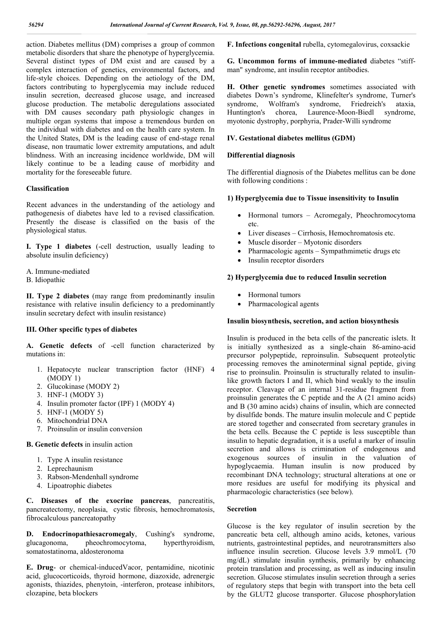action. Diabetes mellitus (DM) comprises a group of common metabolic disorders that share the phenotype of hyperglycemia. Several distinct types of DM exist and are caused by a complex interaction of genetics, environmental factors, and life-style choices. Depending on the aetiology of the DM, factors contributing to hyperglycemia may include reduced insulin secretion, decreased glucose usage, and increased glucose production. The metabolic deregulations associated with DM causes secondary path physiologic changes in multiple organ systems that impose a tremendous burden on the individual with diabetes and on the health care system. In the United States, DM is the leading cause of end-stage renal disease, non traumatic lower extremity amputations, and adult blindness. With an increasing incidence worldwide, DM will likely continue to be a leading cause of morbidity and mortality for the foreseeable future.

## **Classification**

Recent advances in the understanding of the aetiology and pathogenesis of diabetes have led to a revised classification. Presently the disease is classified on the basis of the physiological status.

**I. Type 1 diabetes** (-cell destruction, usually leading to absolute insulin deficiency)

- A. Immune-mediated
- B. Idiopathic

**II. Type 2 diabetes** (may range from predominantly insulin resistance with relative insulin deficiency to a predominantly insulin secretary defect with insulin resistance)

# **III. Other specific types of diabetes**

**A. Genetic defects** of -cell function characterized by mutations in:

- 1. Hepatocyte nuclear transcription factor (HNF) 4 (MODY 1)
- 2. Glucokinase (MODY 2)
- 3. HNF-1 (MODY 3)
- 4. Insulin promoter factor (IPF) 1 (MODY 4)
- 5. HNF-1 (MODY 5)
- 6. Mitochondrial DNA
- 7. Proinsulin or insulin conversion

## **B. Genetic defects** in insulin action

- 1. Type A insulin resistance
- 2. Leprechaunism
- 3. Rabson-Mendenhall syndrome
- 4. Lipoatrophic diabetes

**C. Diseases of the exocrine pancreas**, pancreatitis, pancreatectomy, neoplasia, cystic fibrosis, hemochromatosis, fibrocalculous pancreatopathy

**D. Endocrinopathiesacromegaly**, Cushing's syndrome, glucagonoma, pheochromocytoma, hyperthyroidism, somatostatinoma, aldosteronoma

**E. Drug**- or chemical-inducedVacor, pentamidine, nicotinic acid, glucocorticoids, thyroid hormone, diazoxide, adrenergic agonists, thiazides, phenytoin, -interferon, protease inhibitors, clozapine, beta blockers

**F. Infections congenital** rubella, cytomegalovirus, coxsackie

**G. Uncommon forms of immune-mediated** diabetes "stiffman" syndrome, ant insulin receptor antibodies.

**H. Other genetic syndromes** sometimes associated with diabetes Down's syndrome, Klinefelter's syndrome, Turner's syndrome, Wolfram's syndrome, Friedreich's ataxia, Huntington's chorea, Laurence-Moon-Biedl syndrome, myotonic dystrophy, porphyria, Prader-Willi syndrome

## **IV. Gestational diabetes mellitus (GDM)**

### **Differential diagnosis**

The differential diagnosis of the Diabetes mellitus can be done with following conditions :

### **1) Hyperglycemia due to Tissue insensitivity to Insulin**

- Hormonal tumors Acromegaly, Pheochromocytoma etc.
- Liver diseases Cirrhosis, Hemochromatosis etc.
- Muscle disorder Myotonic disorders
- Pharmacologic agents Sympathmimetic drugs etc
- Insulin receptor disorders

### **2) Hyperglycemia due to reduced Insulin secretion**

- Hormonal tumors
- Pharmacological agents

## **Insulin biosynthesis, secretion, and action biosynthesis**

Insulin is produced in the beta cells of the pancreatic islets. It is initially synthesized as a single-chain 86-amino-acid precursor polypeptide, reproinsulin. Subsequent proteolytic processing removes the aminoterminal signal peptide, giving rise to proinsulin. Proinsulin is structurally related to insulinlike growth factors I and II, which bind weakly to the insulin receptor. Cleavage of an internal 31-residue fragment from proinsulin generates the C peptide and the A (21 amino acids) and B (30 amino acids) chains of insulin, which are connected by disulfide bonds. The mature insulin molecule and C peptide are stored together and consecrated from secretary granules in the beta cells. Because the C peptide is less susceptible than insulin to hepatic degradation, it is a useful a marker of insulin secretion and allows is crimination of endogenous and exogenous sources of insulin in the valuation of hypoglycaemia. Human insulin is now produced by recombinant DNA technology; structural alterations at one or more residues are useful for modifying its physical and pharmacologic characteristics (see below).

### **Secretion**

Glucose is the key regulator of insulin secretion by the pancreatic beta cell, although amino acids, ketones, various nutrients, gastrointestinal peptides, and neurotransmitters also influence insulin secretion. Glucose levels 3.9 mmol/L (70 mg/dL) stimulate insulin synthesis, primarily by enhancing protein translation and processing, as well as inducing insulin secretion. Glucose stimulates insulin secretion through a series of regulatory steps that begin with transport into the beta cell by the GLUT2 glucose transporter. Glucose phosphorylation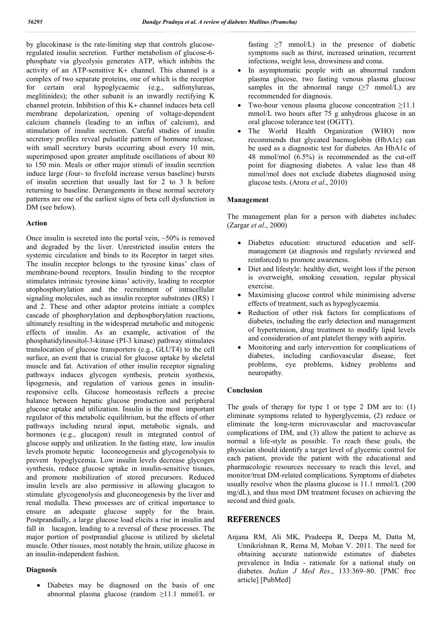by glucokinase is the rate-limiting step that controls glucoseregulated insulin secretion. Further metabolism of glucose-6 phosphate via glycolysis generates ATP, which inhibits the activity of an ATP-sensitive  $K$ + channel. This channel is a complex of two separate proteins, one of which is the receptor for certain oral hypoglycaemic (e.g., sulfonylureas, meglitinides); the other subunit is an inwardly rectifying K channel protein. Inhibition of this  $K<sub>+</sub>$  channel induces beta cell membrane depolarization, opening of voltage-dependent calcium channels (leading to an influx of calcium), and stimulation of insulin secretion. Careful studies of insulin secretory profiles reveal pulsatile pattern of hormone release, with small secretory bursts occurring about every 10 min, superimposed upon greater amplitude oscillations of about 80 to 150 min. Meals or other major stimuli of insulin secretion induce large (four- to fivefold increase versus baseline) bursts of insulin secretion that usually last for 2 to 3 h before returning to baseline. Derangements in these normal secretory patterns are one of the earliest signs of beta cell dysfunction in DM (see below).

## **Action**

Once insulin is secreted into the portal vein,  $~50\%$  is removed and degraded by the liver. Unrestricted insulin enters the systemic circulation and binds to its Receptor in target sites. The insulin receptor belongs to the tyrosine kinas' class of membrane-bound receptors. Insulin binding to the receptor stimulates intrinsic tyrosine kinas' activity, leading to receptor utophosphorylation and the recruitment of intracellular signaling molecules, such as insulin receptor substrates (IRS) 1 and 2. These and other adaptor proteins initiate a complex cascade of phosphorylation and dephosphorylation reactions, ultimately resulting in the widespread metabolic and mitogenic effects of insulin. As an example, activation of the phosphatidylinositol-3-kinase (PI-3 kinase) pathway stimulates translocation of glucose transporters (e.g., GLUT4) to the cell surface, an event that is crucial for glucose uptake by skeletal muscle and fat. Activation of other insulin receptor signaling pathways induces glycogen synthesis, protein synthesis, lipogenesis, and regulation of various genes in insulinresponsive cells. Glucose homeostasis reflects a precise balance between hepatic glucose production and peripheral glucose uptake and utilization. Insulin is the most important regulator of this metabolic equilibrium, but the effects of other pathways including neural input, metabolic signals, and hormones (e.g., glucagon) result in integrated control of glucose supply and utilization. In the fasting state, low insulin levels promote hepatic luconeogenesis and glycogenolysis to prevent hypoglycemia. Low insulin levels decrease glycogen synthesis, reduce glucose uptake in insulin-sensitive tissues, and promote mobilization of stored precursors. Reduced insulin levels are also permissive in allowing glucagon to stimulate glycogenolysis and gluconeogenesis by the liver and renal medulla. These processes are of critical importance to ensure an adequate glucose supply for the brain. Postprandially, a large glucose load elicits a rise in insulin and fall in lucagon, leading to a reversal of these processes. The major portion of postprandial glucose is utilized by skeletal muscle. Other tissues, most notably the brain, utilize glucose in an insulin-independent fashion.

#### **Diagnosis**

• Diabetes may be diagnosed on the basis of one abnormal plasma glucose (random ≥11.1 mmol/L or

fasting  $\geq$ 7 mmol/L) in the presence of diabetic symptoms such as thirst, increased urination, recurrent infections, weight loss, drowsiness and coma.

- In asymptomatic people with an abnormal random plasma glucose, two fasting venous plasma glucose samples in the abnormal range  $(\geq 7 \text{ mmol/L})$  are recommended for diagnosis.
- Two-hour venous plasma glucose concentration  $\geq 11.1$ mmol/L two hours after 75 g anhydrous glucose in an oral glucose tolerance test (OGTT).
- The World Health Organization (WHO) now recommends that glycated haemoglobin (HbA1c) can be used as a diagnostic test for diabetes. An HbA1c of 48 mmol/mol (6.5%) is recommended as the cut-off point for diagnosing diabetes. A value less than 48 mmol/mol does not exclude diabetes diagnosed using glucose tests. (Arora *et al*., 2010)

### **Management**

The management plan for a person with diabetes includes: (Zargar *et al*., 2000)

- Diabetes education: structured education and selfmanagement (at diagnosis and regularly reviewed and reinforced) to promote awareness.
- Diet and lifestyle: healthy diet, weight loss if the person is overweight, smoking cessation, regular physical exercise.
- Maximising glucose control while minimising adverse effects of treatment, such as hypoglycaemia.
- Reduction of other risk factors for complications of diabetes, including the early detection and management of hypertension, drug treatment to modify lipid levels and consideration of ant platelet therapy with aspirin.
- Monitoring and early intervention for complications of diabetes, including cardiovascular disease, feet problems, eye problems, kidney problems and neuropathy.

#### **Conclusion**

The goals of therapy for type 1 or type 2 DM are to: (1) eliminate symptoms related to hyperglycemia, (2) reduce or eliminate the long-term microvascular and macrovascular complications of DM, and (3) allow the patient to achieve as normal a life-style as possible. To reach these goals, the physician should identify a target level of glycemic control for each patient, provide the patient with the educational and pharmacologic resources necessary to reach this level, and monitor/treat DM-related complications. Symptoms of diabetes usually resolve when the plasma glucose is 11.1 mmol/L (200 mg/dL), and thus most DM treatment focuses on achieving the second and third goals.

# **REFERENCES**

Anjana RM, Ali MK, Pradeepa R, Deepa M, Datta M, Unnikrishnan R, Rema M, Mohan V. 2011. The need for obtaining accurate nationwide estimates of diabetes prevalence in India - rationale for a national study on diabetes. *Indian J Med Res*., 133:369–80. [PMC free article] [PubMed]